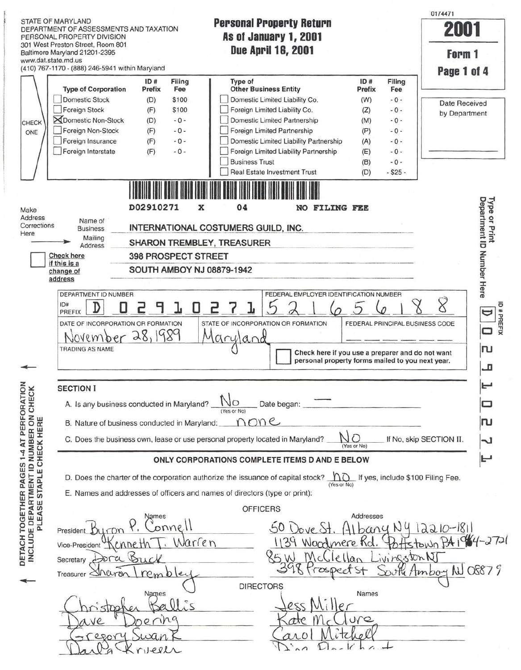I links STATE OF MARYLAND<br>**DEPARTMENT OF ASSESSMENTS AND TAXATION Personal Property Return**<br>**As of January 1, 2001 PERSONAL PROPERTY DIVISION** 301 West Preston Street, Room 801 www.dat.state.md.us

Jail Krieel

0174471

**2001** 

| 301 West Preston Street, Room 801                                                         |                            |                |                                     |                                                                                 |                                                                                                      |           |            |                                      |                           |
|-------------------------------------------------------------------------------------------|----------------------------|----------------|-------------------------------------|---------------------------------------------------------------------------------|------------------------------------------------------------------------------------------------------|-----------|------------|--------------------------------------|---------------------------|
| Baltimore Maryland 21201-2395                                                             |                            |                |                                     | <b>Due April 16, 2001</b>                                                       |                                                                                                      |           |            |                                      | Form 1                    |
| www.dat.state.md.us                                                                       |                            |                |                                     |                                                                                 |                                                                                                      |           |            |                                      |                           |
| (410) 767-1170 - (888) 246-5941 within Maryland                                           |                            |                |                                     |                                                                                 |                                                                                                      |           |            |                                      | Page 1 of 4               |
| <b>Type of Corporation</b>                                                                | ID#                        | Filing         | Type of                             | <b>Other Business Entity</b>                                                    |                                                                                                      | ID#       | Filing     |                                      |                           |
| <b>Domestic Stock</b>                                                                     | Prefix                     | Fee            |                                     |                                                                                 |                                                                                                      | Prefix    | Fee        |                                      |                           |
|                                                                                           | (D)                        | \$100<br>\$100 |                                     | Domestic Limited Liability Co.                                                  |                                                                                                      | (W)       | $-0-$      |                                      | <b>Date Received</b>      |
| Foreign Stock<br><b>X</b> Domestic Non-Stock                                              | (F)                        |                |                                     | Foreign Limited Liability Co.                                                   |                                                                                                      | (Z)       | $-0-$      |                                      | by Department             |
| CHECK                                                                                     | (D)                        | $-0-$          |                                     | Domestic Limited Partnership                                                    |                                                                                                      | (M)       | $-0-$      |                                      |                           |
| Foreign Non-Stock<br>ONE                                                                  | (F)                        | $-0-$          |                                     | Foreign Limited Partnership                                                     |                                                                                                      | (P)       | $-0-$      |                                      |                           |
| Foreign Insurance                                                                         | (F)                        | $-0-$          |                                     | Domestic Limited Liability Partnership                                          |                                                                                                      | (A)       | $-0-$      |                                      |                           |
| Foreign Interstate                                                                        | (F)                        | $-0-$          |                                     | Foreign Limited Liability Partnership                                           |                                                                                                      | (E)       | $-0 -$     |                                      |                           |
|                                                                                           |                            |                | <b>Business Trust</b>               |                                                                                 |                                                                                                      | (B)       | $-0-$      |                                      |                           |
|                                                                                           |                            |                |                                     | <b>Real Estate Investment Trust</b>                                             |                                                                                                      | (D)       | $-$ \$25 - |                                      |                           |
|                                                                                           |                            |                |                                     |                                                                                 |                                                                                                      |           |            |                                      |                           |
|                                                                                           |                            |                |                                     |                                                                                 |                                                                                                      |           |            |                                      |                           |
| Make                                                                                      | D02910271                  | х              | 04                                  | <b>NO</b>                                                                       | FILING FEE                                                                                           |           |            |                                      | <b>Type</b>               |
| Address<br>Name of                                                                        |                            |                |                                     |                                                                                 |                                                                                                      |           |            |                                      | Department ID<br>or Print |
| Corrections<br><b>Business</b><br>Here                                                    |                            |                | INTERNATIONAL COSTUMERS GUILD, INC. |                                                                                 |                                                                                                      |           |            |                                      |                           |
| Mailing<br><b>Address</b>                                                                 |                            |                | SHARON TREMBLEY, TREASURER          |                                                                                 |                                                                                                      |           |            |                                      |                           |
| <b>Check here</b>                                                                         | <b>398 PROSPECT STREET</b> |                |                                     |                                                                                 |                                                                                                      |           |            |                                      |                           |
| if this is a                                                                              |                            |                |                                     |                                                                                 |                                                                                                      |           |            |                                      | Number Here               |
| change of<br>address                                                                      |                            |                | SOUTH AMBOY NJ 08879-1942           |                                                                                 |                                                                                                      |           |            |                                      |                           |
|                                                                                           |                            |                |                                     |                                                                                 |                                                                                                      |           |            |                                      |                           |
| DEPARTMENT ID NUMBER                                                                      |                            |                |                                     | FEDERAL EMPLOYER IDENTIFICATION NUMBER                                          |                                                                                                      |           |            |                                      |                           |
| ID#<br>н                                                                                  |                            | U              |                                     |                                                                                 |                                                                                                      |           |            |                                      | $\varphi$                 |
|                                                                                           |                            |                |                                     |                                                                                 |                                                                                                      |           |            |                                      |                           |
| PREFIX                                                                                    |                            |                |                                     |                                                                                 |                                                                                                      |           |            |                                      | $\mathbf \Xi$             |
| DATE OF INCORPORATION OR FORMATION                                                        |                            |                |                                     | STATE OF INCORPORATION OR FORMATION                                             |                                                                                                      |           |            | FEDERAL PRINCIPAL BUSINESS CODE      |                           |
| November 28, 1989                                                                         |                            |                |                                     |                                                                                 |                                                                                                      |           |            |                                      | 0                         |
| <b>TRADING AS NAME</b>                                                                    |                            |                | aryland                             |                                                                                 |                                                                                                      |           |            |                                      | ru                        |
|                                                                                           |                            |                |                                     |                                                                                 | Check here if you use a preparer and do not want<br>personal property forms mailed to you next year. |           |            |                                      |                           |
|                                                                                           |                            |                |                                     |                                                                                 |                                                                                                      |           |            |                                      | n                         |
|                                                                                           |                            |                |                                     |                                                                                 |                                                                                                      |           |            |                                      |                           |
| <b>SECTION I</b>                                                                          |                            |                |                                     |                                                                                 |                                                                                                      |           |            |                                      |                           |
| A. Is any business conducted in Maryland?                                                 |                            |                | O                                   | Date began:                                                                     |                                                                                                      |           |            |                                      |                           |
|                                                                                           |                            |                | (Yes or No)                         |                                                                                 |                                                                                                      |           |            |                                      |                           |
| B. Nature of business conducted in Maryland:                                              |                            |                |                                     | one                                                                             |                                                                                                      |           |            |                                      | വ                         |
|                                                                                           |                            |                |                                     | C. Does the business own, lease or use personal property located in Maryland?   | $\cap$                                                                                               |           |            | If No, skip SECTION II.              | J.                        |
|                                                                                           |                            |                |                                     |                                                                                 | (Yes or No)                                                                                          |           |            |                                      |                           |
|                                                                                           |                            |                |                                     | ONLY CORPORATIONS COMPLETE ITEMS D AND E BELOW                                  |                                                                                                      |           |            |                                      | بج                        |
|                                                                                           |                            |                |                                     |                                                                                 |                                                                                                      |           |            |                                      |                           |
|                                                                                           |                            |                |                                     | D. Does the charter of the corporation authorize the issuance of capital stock? | (Yes or No)                                                                                          |           |            | no If yes, include \$100 Filing Fee. |                           |
| E. Names and addresses of officers and names of directors (type or print):                |                            |                |                                     |                                                                                 |                                                                                                      |           |            |                                      |                           |
|                                                                                           |                            |                |                                     |                                                                                 |                                                                                                      |           |            |                                      |                           |
|                                                                                           | Names                      |                |                                     | <b>OFFICERS</b>                                                                 |                                                                                                      |           |            |                                      |                           |
|                                                                                           |                            |                |                                     |                                                                                 |                                                                                                      | Addresses |            |                                      |                           |
| President                                                                                 | onnel                      |                |                                     |                                                                                 |                                                                                                      | bany N    |            |                                      | $12210 - 1811$            |
| Vice-President                                                                            |                            | Warren         |                                     |                                                                                 |                                                                                                      |           |            |                                      | $1964 - 2721$             |
| Dra                                                                                       |                            |                |                                     |                                                                                 |                                                                                                      |           |            |                                      |                           |
| CHECK<br><b>INCLUDE DEPARTMENT ID NUMBER ON<br/>PLEASE STAPLE CHECK HERE</b><br>Secretary | Buck                       |                |                                     |                                                                                 |                                                                                                      |           |            | ivingstonN                           |                           |
| Treasurer <i>SNULL</i>                                                                    | $Pm$ $D$ ler               |                |                                     |                                                                                 |                                                                                                      |           |            | He Amboy N                           |                           |
|                                                                                           |                            |                |                                     | <b>DIRECTORS</b>                                                                |                                                                                                      |           |            |                                      |                           |
|                                                                                           | Names                      |                |                                     |                                                                                 |                                                                                                      | Names     |            |                                      |                           |
|                                                                                           |                            |                |                                     | ess                                                                             |                                                                                                      |           |            |                                      | 08879                     |
| .ve                                                                                       |                            |                |                                     | ate                                                                             |                                                                                                      | ure       |            |                                      |                           |

Dina Darkhart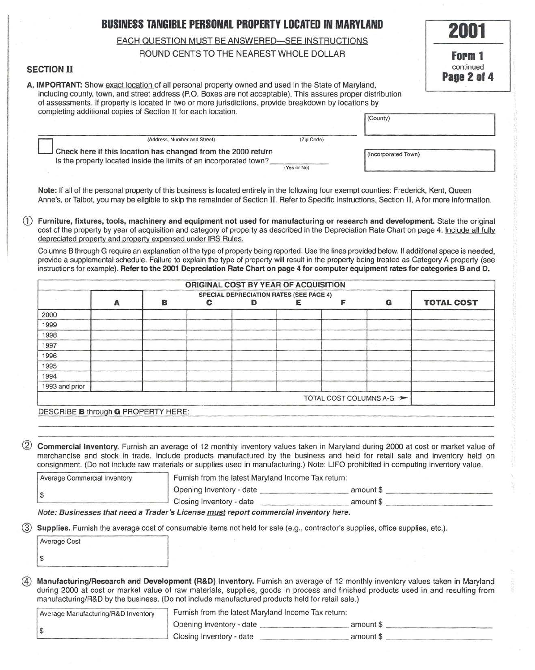# **BUSINESS TANGIBLE PERSONAL PROPERTY LOCATED IN MARYLAND**

# EACH QUESTION MUST BE ANSWERED-SEE INSTRUCTIONS

# ROUND CENTS TO THE NEAREST WHOLE DOLLAR

## SECTION II

A. IMPORTANT: Show exact location of all personal property owned and used in the State of Maryland, including county, town, and street address (P.O. Boxes are not acceptable). This assures proper distribution of assessments. If property is located in two or more jurisdictions, provide breakdown by locations by completing additional copies of Section II for each location.

| (Address, Number and Street)                                                                                                       | (Zip Code)  |                     |  |
|------------------------------------------------------------------------------------------------------------------------------------|-------------|---------------------|--|
| Check here if this location has changed from the 2000 return<br>Is the property located inside the limits of an incorporated town? |             | (Incorporated Town) |  |
|                                                                                                                                    | (Yes or No) |                     |  |

**2001** 

**Form 1**  continued **Page 2 ol 4** 

Note: If all of the personal property of this business is located entirely in the following four exempt counties: Frederick, Kent, Queen Anne's, or Talbot, you may be eligible to skip the remainder of Section IL Refer to Specific Instructions, Section II, A for more information.

CD Furniture, fixtures, tools, machinery and equipment not used for manufacturing or research and development. State the original cost of the property by year of acquisition and category of property as described in the Depreciation Rate Chart on page 4. Include all fully depreciated property and property expensed under IRS Rules.

Columns B through G require an explanation of the type of property being reported. Use the lines provided below. If additional space is needed, provide a supplemental schedule. Failure to explain the type of property will result in the property being treated as Category A property (see instructions for example). Refer to the 2001 Depreciation Rate Chart on page 4 for computer equipment rates tor categories Band D.

| ORIGINAL COST BY YEAR OF ACQUISITION |                                                |   |   |  |  |                          |                   |
|--------------------------------------|------------------------------------------------|---|---|--|--|--------------------------|-------------------|
|                                      | <b>SPECIAL DEPRECIATION RATES (SEE PAGE 4)</b> |   |   |  |  |                          |                   |
|                                      | А                                              | в | С |  |  | G                        | <b>TOTAL COST</b> |
| 2000                                 |                                                |   |   |  |  |                          |                   |
| 1999                                 |                                                |   |   |  |  |                          |                   |
| 1998                                 |                                                |   |   |  |  |                          |                   |
| 1997                                 |                                                |   |   |  |  |                          |                   |
| 1996                                 |                                                |   |   |  |  |                          |                   |
| 1995                                 |                                                |   |   |  |  |                          |                   |
| 1994                                 |                                                |   |   |  |  |                          |                   |
| 1993 and prior                       |                                                |   |   |  |  |                          |                   |
|                                      |                                                |   |   |  |  | TOTAL COST COLUMNS A-G > |                   |

DESCRIBE **B** through **G** PROPERTY HERE:

Commercial Inventory. Furnish an average of 12 monthly inventory values taken in Maryland during 2000 at cost or market value of merchandise and stock in trade. Include products manufactured by the business and held for retail sale and inventory held on consignment. (Do not include raw materials or supplies used in manufacturing.) Note: LIFO prohibited in computing inventory value.

| Average Commercial Inventory | Furnish from the latest Maryland Income Tax return: |           |
|------------------------------|-----------------------------------------------------|-----------|
|                              | Opening Inventory - date                            | amount \$ |
|                              | Closing Inventory - date                            | amount \$ |

Note: Businesses that need a Trader's License must report commercial inventory here.

Supplies. Furnish the average cost of consumable items not held for sale (e.g., contractor's supplies, office supplies, etc.).

| Average Cost |  |
|--------------|--|
|              |  |

Manufacturing/Research and Development (R&D) Inventory. Furnish an average of 12 monthly inventory values taken in Maryland during 2000 at cost or market value of raw materials, supplies, goods in process and finished products used in and resulting from manufacturing/R&D by the business. (Do not include manufactured products held for retail sale.)

| Average Manufacturing/R&D Inventory | Furnish from the latest Maryland Income Tax return: |           |  |
|-------------------------------------|-----------------------------------------------------|-----------|--|
|                                     | Opening Inventory - date                            | amount \$ |  |
|                                     | Closing Inventory - date                            | amount \$ |  |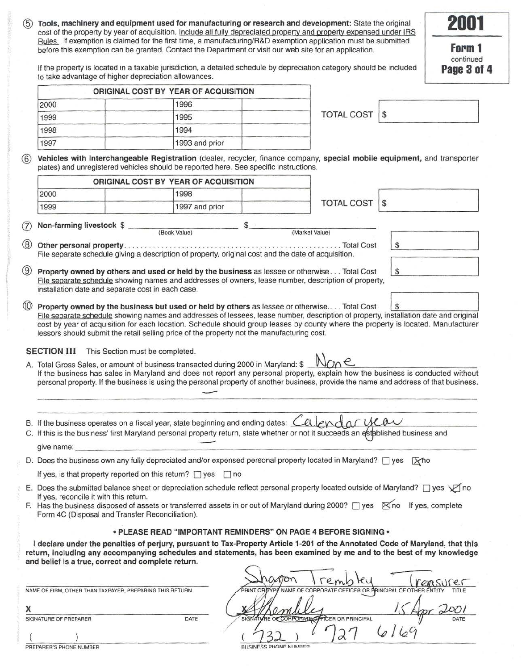Tools, machinery and equipment used for manufacturing or research and development: State the original cost of the property by year of acquisition. Include all fully depreciated property and property expensed under IRS Rules. If exemption is claimed for the first time, a manufacturing/R&D exemption application must be submitted before this exemption can be granted. Contact the Department or visit our web site for an application.

**Form 1**  continued **Page 3 ol 4** 

**2001** 

If the property is located in a taxable jurisdiction, a detailed schedule by depreciation category should be included to take advantage of higher depreciation allowances.

|      | ORIGINAL COST BY YEAR OF ACQUISITION |                   |    |
|------|--------------------------------------|-------------------|----|
| 2000 | 1996                                 |                   |    |
| 1999 | 1995                                 | <b>TOTAL COST</b> | £. |
| 1998 | 1994                                 |                   |    |
| 1997 | 1993 and prior                       |                   |    |

\$

\$

@ Vehicles with Interchangeable Registration (dealer, recycler, finance company, special mobile equipment, and transporter plates) and unregistered vehicles should be reported here. See specific instructions.

|      | ORIGINAL COST BY YEAR OF ACQUISITION |                   |    |
|------|--------------------------------------|-------------------|----|
| 2000 | 1998                                 |                   |    |
| 1999 | 1997 and prior                       | <b>TOTAL COST</b> | -S |

and **The Contract of Studies of the Contract Only and Studies (Book Value)** (Market Value) (Market Value)

- @ Other personal property . ... . ... . ... . .. .. ... .. .. . . .. . . .... · .. .... .. . . .. . .... . . Total Cost File separate schedule giving a description of property, original cost and the date of acquisition.
- ® Property owned by others and used or held by the business as lessee or otherwise . .. Total Cost File separate schedule showing names and addresses of owners, lease number, description of property, installation date and separate cost in each case.
- $(10)$ Property owned by the business but used or held by others as lessee or otherwise... . Total Cost  $\S$ File separate schedule showing names and addresses of lessees, lease number, description of property, installation date and original cost by year of acquisition for each location. Schedule should group leases by county where the property is located. Manufacturer lessors should submit the retail selling price of the property not the manufacturing cost.

SECTION III This Section must be completed.

- A. Total Gross Sales, or amount of business transacted during 2000 in Maryland: \$ If the business has sales in Maryland and does not report any personal property, explain how the business is conducted without personal property. If the business is using the personal property of another business, provide the name and address of that business. not<br>sona<br>——
- B. If the business operates on a fiscal year, state beginning and ending dates:  $\triangle$
- C. If this is the business' first Maryland personal property return, state whether or not it succeeds an established business and<br>give name:
- D. Does the business own any fully depreciated and/or expensed personal property located in Maryland?  $\Box$  yes  $\Box$  X ho

If yes, is that property reported on this return?  $\Box$  yes  $\Box$  no

- E. Does the submitted balance sheet or depreciation schedule reflect personal property located outside of Maryland?  $\Box$  yes  $\sqrt{ }$  no If yes, reconcile it with this return.
- F. Has the business disposed of assets or transferred assets in or out of Maryland during 2000?  $\Box$  yes  $\Box$   $\Box$  Yno If yes, complete Form 4C (Disposal and Transfer Reconciliation).

### •PLEASE READ "IMPORTANT REMINDERS" QN PAGE 4 BEFORE SIGNING•

I declare under the penalties of perjury, pursuant to Tax-Property Article 1-201 of the Annotated Code of Maryland, that this return, including any accompanying schedules and statements, has been examined by me and to the best of my knowledge and belief is a true, correct and complete return.

|                                                          | remb<br>crasurer                                                               |
|----------------------------------------------------------|--------------------------------------------------------------------------------|
| NAME OF FIRM, OTHER THAN TAXPAYER, PREPARING THIS RETURN | PRINT OR IT PE NAME OF CORPORATE OFFICER OR PRINCIPAL OF OTHER ENTITY<br>TITLE |
| χ                                                        |                                                                                |
| DATE<br>SIGNATURE OF PREPARER                            | SIGNATURE OF CORPORATE OF PRINCIPAL<br>DATE                                    |
|                                                          | $\alpha$                                                                       |
| PREPARER'S PHONE NUMBER                                  | BUSINESS PHONE NUMBER                                                          |